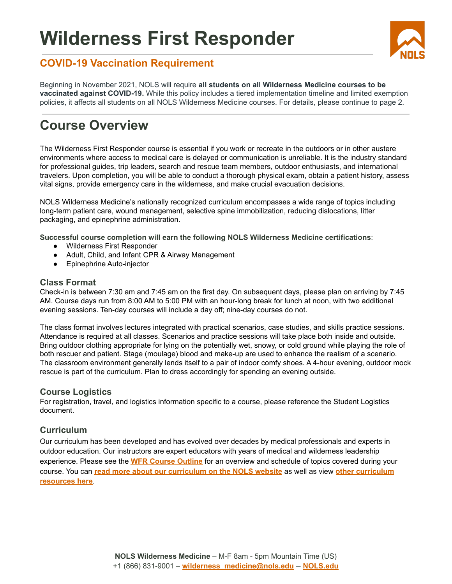# **Wilderness First Responder**



### **COVID-19 Vaccination Requirement**

Beginning in November 2021, NOLS will require **all students on all Wilderness Medicine courses to be vaccinated against COVID-19.** While this policy includes a tiered implementation timeline and limited exemption policies, it affects all students on all NOLS Wilderness Medicine courses. For details, please continue to page 2.

## **Course Overview**

The Wilderness First Responder course is essential if you work or recreate in the outdoors or in other austere environments where access to medical care is delayed or communication is unreliable. It is the industry standard for professional guides, trip leaders, search and rescue team members, outdoor enthusiasts, and international travelers. Upon completion, you will be able to conduct a thorough physical exam, obtain a patient history, assess vital signs, provide emergency care in the wilderness, and make crucial evacuation decisions.

NOLS Wilderness Medicine's nationally recognized curriculum encompasses a wide range of topics including long-term patient care, wound management, selective spine immobilization, reducing dislocations, litter packaging, and epinephrine administration.

**Successful course completion will earn the following NOLS Wilderness Medicine certifications**:

- Wilderness First Responder
- Adult, Child, and Infant CPR & Airway Management
- Epinephrine Auto-injector

#### **Class Format**

Check-in is between 7:30 am and 7:45 am on the first day. On subsequent days, please plan on arriving by 7:45 AM. Course days run from 8:00 AM to 5:00 PM with an hour-long break for lunch at noon, with two additional evening sessions. Ten-day courses will include a day off; nine-day courses do not.

The class format involves lectures integrated with practical scenarios, case studies, and skills practice sessions. Attendance is required at all classes. Scenarios and practice sessions will take place both inside and outside. Bring outdoor clothing appropriate for lying on the potentially wet, snowy, or cold ground while playing the role of both rescuer and patient. Stage (moulage) blood and make-up are used to enhance the realism of a scenario. The classroom environment generally lends itself to a pair of indoor comfy shoes. A 4-hour evening, outdoor mock rescue is part of the curriculum. Plan to dress accordingly for spending an evening outside.

#### **Course Logistics**

For registration, travel, and logistics information specific to a course, please reference the Student Logistics document.

#### **Curriculum**

Our curriculum has been developed and has evolved over decades by medical professionals and experts in outdoor education. Our instructors are expert educators with years of medical and wilderness leadership experience. Please see the **WFR [Course](https://nols.edu/en/filer/public/1591976869/5334/) Outline** for an overview and schedule of topics covered during your course. You can **read more about our [curriculum](https://nols.edu/en/wilderness-medicine/core-curriculum/) on the NOLS website** as well as view **other [curriculum](https://nols.edu/en/wilderness-medicine/resources/) [resources](https://nols.edu/en/wilderness-medicine/resources/) here**.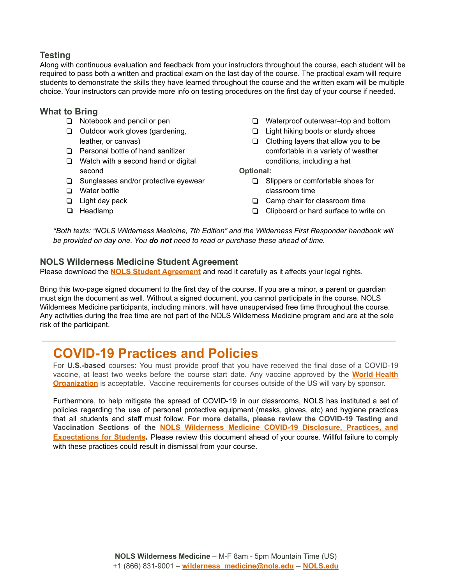#### **Testing**

Along with continuous evaluation and feedback from your instructors throughout the course, each student will be required to pass both a written and practical exam on the last day of the course. The practical exam will require students to demonstrate the skills they have learned throughout the course and the written exam will be multiple choice. Your instructors can provide more info on testing procedures on the first day of your course if needed.

#### **What to Bring**

- ❏ Notebook and pencil or pen
- ❏ Outdoor work gloves (gardening, leather, or canvas)
- ❏ Personal bottle of hand sanitizer
- ❏ Watch with a second hand or digital second
- ❏ Sunglasses and/or protective eyewear
- ❏ Water bottle
- ❏ Light day pack
- ❏ Headlamp
- ❏ Waterproof outerwear–top and bottom
- ❏ Light hiking boots or sturdy shoes
- ❏ Clothing layers that allow you to be comfortable in a variety of weather conditions, including a hat

**Optional:**

- ❏ Slippers or comfortable shoes for classroom time
- ❏ Camp chair for classroom time
- ❏ Clipboard or hard surface to write on

*\*Both texts: "NOLS Wilderness Medicine, 7th Edition" and the Wilderness First Responder handbook will be provided on day one. You do not need to read or purchase these ahead of time.*

#### **NOLS Wilderness Medicine Student Agreement**

Please download the **NOLS Student [Agreement](https://www.nols.edu/en/filer/public/1481655159/906/)** and read it carefully as it affects your legal rights.

Bring this two-page signed document to the first day of the course. If you are a minor, a parent or guardian must sign the document as well. Without a signed document, you cannot participate in the course. NOLS Wilderness Medicine participants, including minors, will have unsupervised free time throughout the course. Any activities during the free time are not part of the NOLS Wilderness Medicine program and are at the sole risk of the participant.

## **COVID-19 Practices and Policies**

For **U.S.-based** courses: You must provide proof that you have received the final dose of a COVID-19 vaccine, at least two weeks before the course start date. Any vaccine approved by the **World [Health](https://covid19.trackvaccines.org/agency/who/) [Organization](https://covid19.trackvaccines.org/agency/who/)** is acceptable. Vaccine requirements for courses outside of the US will vary by sponsor.

Furthermore, to help mitigate the spread of COVID-19 in our classrooms, NOLS has instituted a set of policies regarding the use of personal protective equipment (masks, gloves, etc) and hygiene practices that all students and staff must follow. **For more details, please review the COVID-19 Testing and Vaccination Sections of the NOLS Wilderness Medicine COVID-19 [Disclosure,](https://docs.google.com/document/d/1jCIoXEoWBarFbF76pwdynAgtGvPd4aI9uBEys8m0cvg/edit) Practices, and [Expectations](https://docs.google.com/document/d/1jCIoXEoWBarFbF76pwdynAgtGvPd4aI9uBEys8m0cvg/edit) for Students.** Please review this document ahead of your course. Willful failure to comply with these practices could result in dismissal from your course.